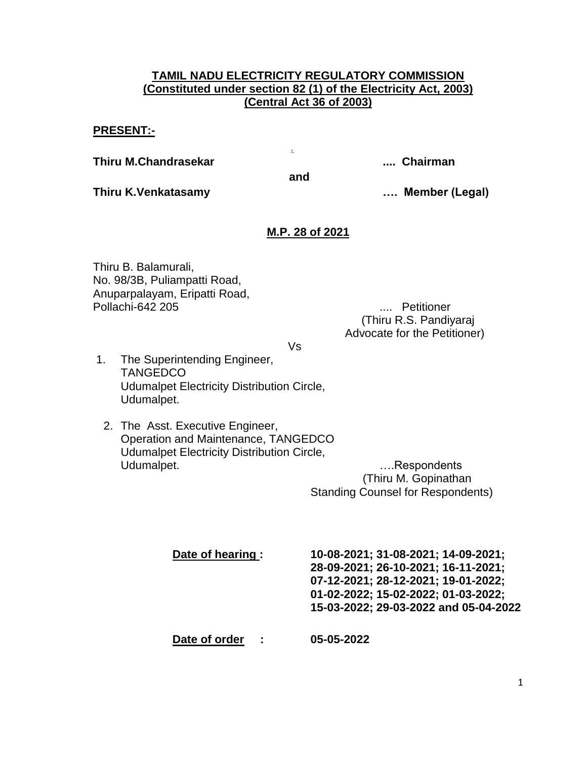# **TAMIL NADU ELECTRICITY REGULATORY COMMISSION (Constituted under section 82 (1) of the Electricity Act, 2003) (Central Act 36 of 2003)**

# **PRESENT:-**

**Thiru M.Chandrasekar .... Chairman**

**Thiru K.Venkatasamy …. Member (Legal)**

**1.**

**and**

**M.P. 28 of 2021**

Thiru B. Balamurali, No. 98/3B, Puliampatti Road, Anuparpalayam, Eripatti Road, Pollachi-642 205 .... Petitioner

 (Thiru R.S. Pandiyaraj Advocate for the Petitioner)

Vs

- 1. The Superintending Engineer, **TANGEDCO** Udumalpet Electricity Distribution Circle, Udumalpet.
	- 2. The Asst. Executive Engineer, Operation and Maintenance, TANGEDCO Udumalpet Electricity Distribution Circle, Udumalpet. **Example 1** and the contract of the contract of the contract of the contract of the contract of the contract of the contract of the contract of the contract of the contract of the contract of the contract of the

 (Thiru M. Gopinathan Standing Counsel for Respondents)

| Date of hearing :          | 10-08-2021; 31-08-2021; 14-09-2021;<br>28-09-2021; 26-10-2021; 16-11-2021;<br>07-12-2021; 28-12-2021; 19-01-2022;<br>01-02-2022; 15-02-2022; 01-03-2022;<br>15-03-2022; 29-03-2022 and 05-04-2022 |
|----------------------------|---------------------------------------------------------------------------------------------------------------------------------------------------------------------------------------------------|
| Date of order<br>$\sim$ 10 | 05-05-2022                                                                                                                                                                                        |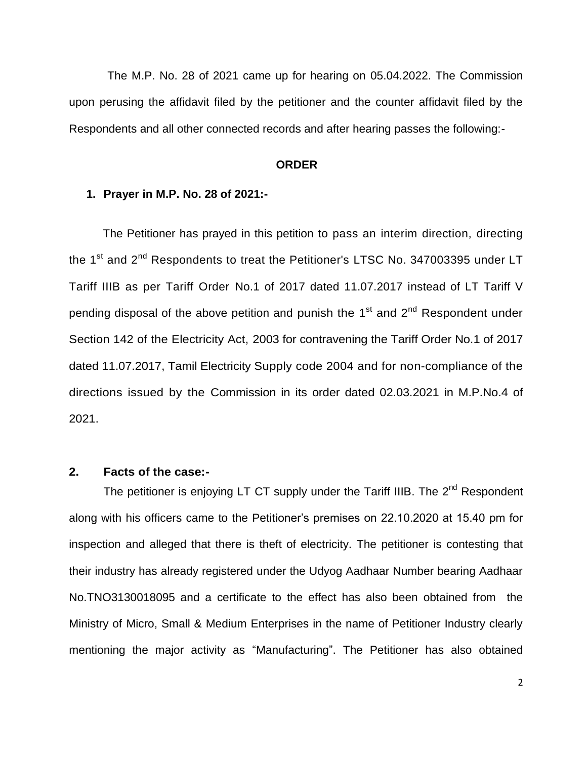The M.P. No. 28 of 2021 came up for hearing on 05.04.2022. The Commission upon perusing the affidavit filed by the petitioner and the counter affidavit filed by the Respondents and all other connected records and after hearing passes the following:-

# **ORDER**

#### **1. Prayer in M.P. No. 28 of 2021:-**

The Petitioner has prayed in this petition to pass an interim direction, directing the 1<sup>st</sup> and 2<sup>nd</sup> Respondents to treat the Petitioner's LTSC No. 347003395 under LT Tariff IIIB as per Tariff Order No.1 of 2017 dated 11.07.2017 instead of LT Tariff V pending disposal of the above petition and punish the 1<sup>st</sup> and 2<sup>nd</sup> Respondent under Section 142 of the Electricity Act, 2003 for contravening the Tariff Order No.1 of 2017 dated 11.07.2017, Tamil Electricity Supply code 2004 and for non-compliance of the directions issued by the Commission in its order dated 02.03.2021 in M.P.No.4 of 2021.

# **2. Facts of the case:-**

The petitioner is enjoying LT CT supply under the Tariff IIIB. The 2<sup>nd</sup> Respondent along with his officers came to the Petitioner's premises on 22.10.2020 at 15.40 pm for inspection and alleged that there is theft of electricity. The petitioner is contesting that their industry has already registered under the Udyog Aadhaar Number bearing Aadhaar No.TNO3130018095 and a certificate to the effect has also been obtained from the Ministry of Micro, Small & Medium Enterprises in the name of Petitioner Industry clearly mentioning the major activity as "Manufacturing". The Petitioner has also obtained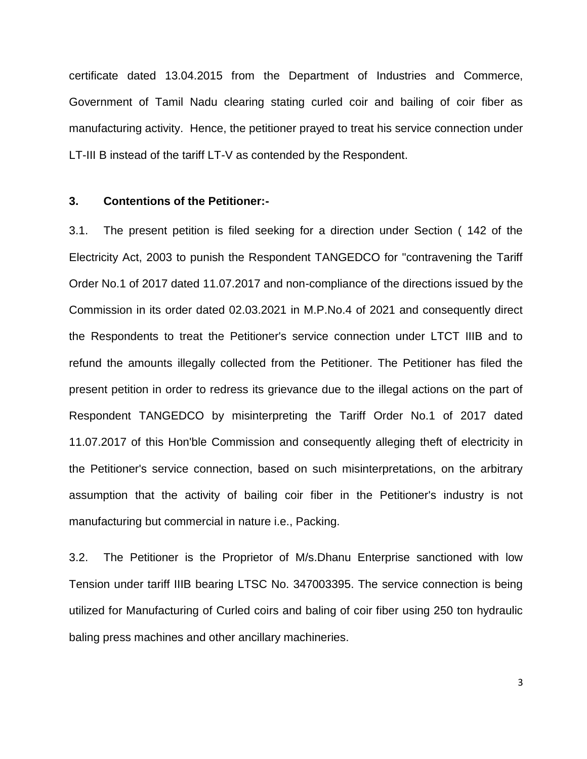certificate dated 13.04.2015 from the Department of Industries and Commerce, Government of Tamil Nadu clearing stating curled coir and bailing of coir fiber as manufacturing activity. Hence, the petitioner prayed to treat his service connection under LT-III B instead of the tariff LT-V as contended by the Respondent.

# **3. Contentions of the Petitioner:-**

3.1. The present petition is filed seeking for a direction under Section ( 142 of the Electricity Act, 2003 to punish the Respondent TANGEDCO for "contravening the Tariff Order No.1 of 2017 dated 11.07.2017 and non-compliance of the directions issued by the Commission in its order dated 02.03.2021 in M.P.No.4 of 2021 and consequently direct the Respondents to treat the Petitioner's service connection under LTCT IIIB and to refund the amounts illegally collected from the Petitioner. The Petitioner has filed the present petition in order to redress its grievance due to the illegal actions on the part of Respondent TANGEDCO by misinterpreting the Tariff Order No.1 of 2017 dated 11.07.2017 of this Hon'ble Commission and consequently alleging theft of electricity in the Petitioner's service connection, based on such misinterpretations, on the arbitrary assumption that the activity of bailing coir fiber in the Petitioner's industry is not manufacturing but commercial in nature i.e., Packing.

3.2. The Petitioner is the Proprietor of M/s.Dhanu Enterprise sanctioned with low Tension under tariff IIIB bearing LTSC No. 347003395. The service connection is being utilized for Manufacturing of Curled coirs and baling of coir fiber using 250 ton hydraulic baling press machines and other ancillary machineries.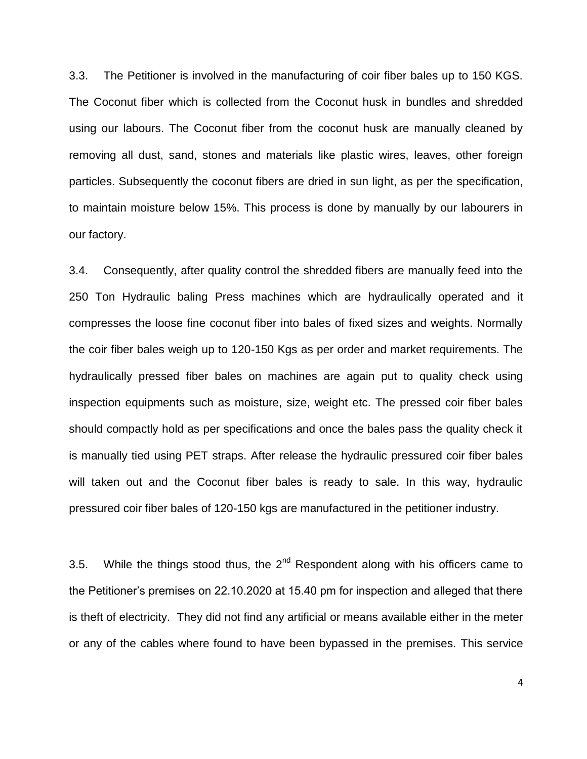3.3. The Petitioner is involved in the manufacturing of coir fiber bales up to 150 KGS. The Coconut fiber which is collected from the Coconut husk in bundles and shredded using our labours. The Coconut fiber from the coconut husk are manually cleaned by removing all dust, sand, stones and materials like plastic wires, leaves, other foreign particles. Subsequently the coconut fibers are dried in sun light, as per the specification, to maintain moisture below 15%. This process is done by manually by our labourers in our factory.

3.4. Consequently, after quality control the shredded fibers are manually feed into the 250 Ton Hydraulic baling Press machines which are hydraulically operated and it compresses the loose fine coconut fiber into bales of fixed sizes and weights. Normally the coir fiber bales weigh up to 120-150 Kgs as per order and market requirements. The hydraulically pressed fiber bales on machines are again put to quality check using inspection equipments such as moisture, size, weight etc. The pressed coir fiber bales should compactly hold as per specifications and once the bales pass the quality check it is manually tied using PET straps. After release the hydraulic pressured coir fiber bales will taken out and the Coconut fiber bales is ready to sale. In this way, hydraulic pressured coir fiber bales of 120-150 kgs are manufactured in the petitioner industry.

3.5. While the things stood thus, the  $2<sup>nd</sup>$  Respondent along with his officers came to the Petitioner's premises on 22.10.2020 at 15.40 pm for inspection and alleged that there is theft of electricity. They did not find any artificial or means available either in the meter or any of the cables where found to have been bypassed in the premises. This service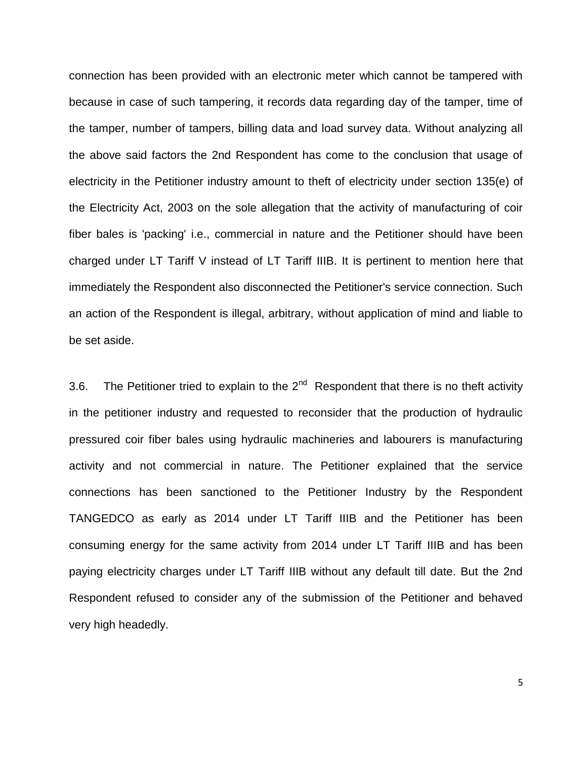connection has been provided with an electronic meter which cannot be tampered with because in case of such tampering, it records data regarding day of the tamper, time of the tamper, number of tampers, billing data and load survey data. Without analyzing all the above said factors the 2nd Respondent has come to the conclusion that usage of electricity in the Petitioner industry amount to theft of electricity under section 135(e) of the Electricity Act, 2003 on the sole allegation that the activity of manufacturing of coir fiber bales is 'packing' i.e., commercial in nature and the Petitioner should have been charged under LT Tariff V instead of LT Tariff IIIB. It is pertinent to mention here that immediately the Respondent also disconnected the Petitioner's service connection. Such an action of the Respondent is illegal, arbitrary, without application of mind and liable to be set aside.

3.6. The Petitioner tried to explain to the  $2^{nd}$  Respondent that there is no theft activity in the petitioner industry and requested to reconsider that the production of hydraulic pressured coir fiber bales using hydraulic machineries and labourers is manufacturing activity and not commercial in nature. The Petitioner explained that the service connections has been sanctioned to the Petitioner Industry by the Respondent TANGEDCO as early as 2014 under LT Tariff IIIB and the Petitioner has been consuming energy for the same activity from 2014 under LT Tariff IIIB and has been paying electricity charges under LT Tariff IIIB without any default till date. But the 2nd Respondent refused to consider any of the submission of the Petitioner and behaved very high headedly.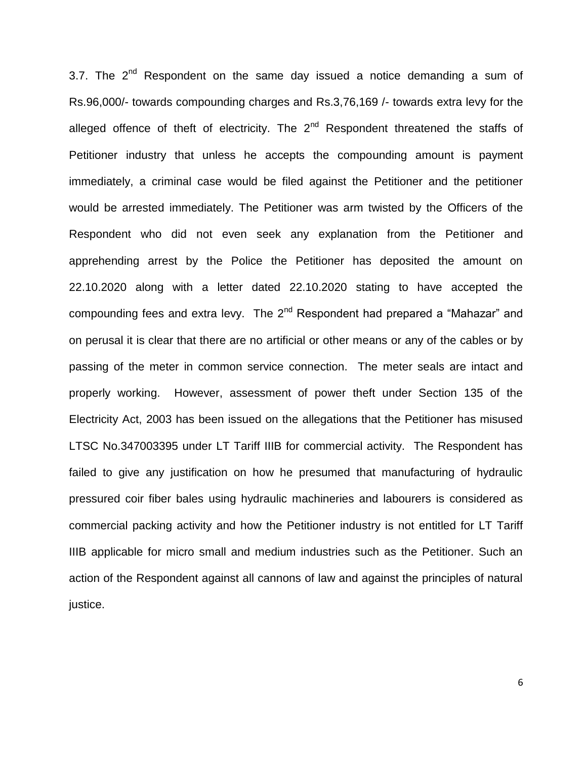3.7. The  $2^{nd}$  Respondent on the same day issued a notice demanding a sum of Rs.96,000/- towards compounding charges and Rs.3,76,169 /- towards extra levy for the alleged offence of theft of electricity. The  $2^{nd}$  Respondent threatened the staffs of Petitioner industry that unless he accepts the compounding amount is payment immediately, a criminal case would be filed against the Petitioner and the petitioner would be arrested immediately. The Petitioner was arm twisted by the Officers of the Respondent who did not even seek any explanation from the Petitioner and apprehending arrest by the Police the Petitioner has deposited the amount on 22.10.2020 along with a letter dated 22.10.2020 stating to have accepted the compounding fees and extra levy. The  $2^{nd}$  Respondent had prepared a "Mahazar" and on perusal it is clear that there are no artificial or other means or any of the cables or by passing of the meter in common service connection. The meter seals are intact and properly working. However, assessment of power theft under Section 135 of the Electricity Act, 2003 has been issued on the allegations that the Petitioner has misused LTSC No.347003395 under LT Tariff IIIB for commercial activity. The Respondent has failed to give any justification on how he presumed that manufacturing of hydraulic pressured coir fiber bales using hydraulic machineries and labourers is considered as commercial packing activity and how the Petitioner industry is not entitled for LT Tariff IIIB applicable for micro small and medium industries such as the Petitioner. Such an action of the Respondent against all cannons of law and against the principles of natural justice.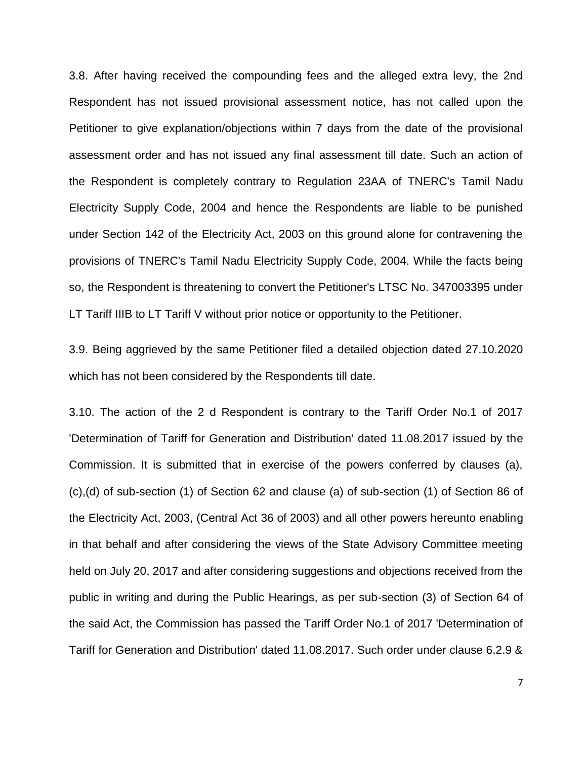3.8. After having received the compounding fees and the alleged extra levy, the 2nd Respondent has not issued provisional assessment notice, has not called upon the Petitioner to give explanation/objections within 7 days from the date of the provisional assessment order and has not issued any final assessment till date. Such an action of the Respondent is completely contrary to Regulation 23AA of TNERC's Tamil Nadu Electricity Supply Code, 2004 and hence the Respondents are liable to be punished under Section 142 of the Electricity Act, 2003 on this ground alone for contravening the provisions of TNERC's Tamil Nadu Electricity Supply Code, 2004. While the facts being so, the Respondent is threatening to convert the Petitioner's LTSC No. 347003395 under LT Tariff IIIB to LT Tariff V without prior notice or opportunity to the Petitioner.

3.9. Being aggrieved by the same Petitioner filed a detailed objection dated 27.10.2020 which has not been considered by the Respondents till date.

3.10. The action of the 2 d Respondent is contrary to the Tariff Order No.1 of 2017 'Determination of Tariff for Generation and Distribution' dated 11.08.2017 issued by the Commission. It is submitted that in exercise of the powers conferred by clauses (a), (c),(d) of sub-section (1) of Section 62 and clause (a) of sub-section (1) of Section 86 of the Electricity Act, 2003, (Central Act 36 of 2003) and all other powers hereunto enabling in that behalf and after considering the views of the State Advisory Committee meeting held on July 20, 2017 and after considering suggestions and objections received from the public in writing and during the Public Hearings, as per sub-section (3) of Section 64 of the said Act, the Commission has passed the Tariff Order No.1 of 2017 'Determination of Tariff for Generation and Distribution' dated 11.08.2017. Such order under clause 6.2.9 &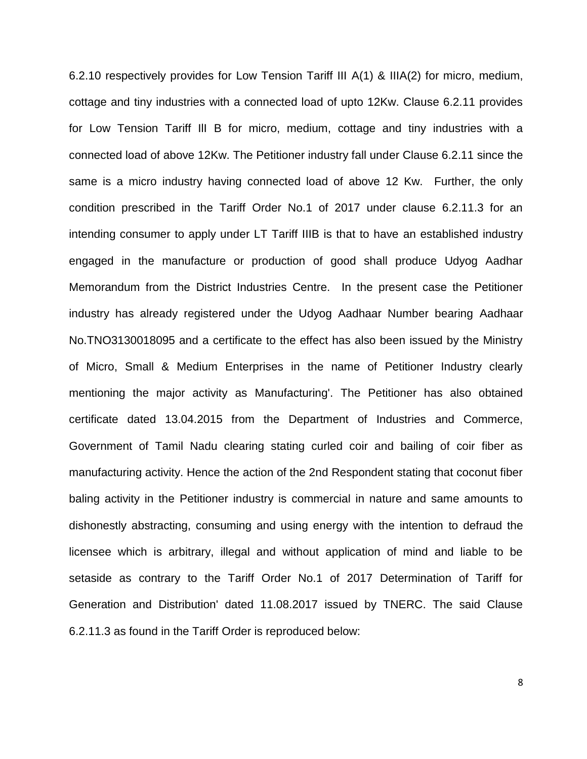6.2.10 respectively provides for Low Tension Tariff III A(1) & IIIA(2) for micro, medium, cottage and tiny industries with a connected load of upto 12Kw. Clause 6.2.11 provides for Low Tension Tariff IlI B for micro, medium, cottage and tiny industries with a connected load of above 12Kw. The Petitioner industry fall under Clause 6.2.11 since the same is a micro industry having connected load of above 12 Kw. Further, the only condition prescribed in the Tariff Order No.1 of 2017 under clause 6.2.11.3 for an intending consumer to apply under LT Tariff IIIB is that to have an established industry engaged in the manufacture or production of good shall produce Udyog Aadhar Memorandum from the District Industries Centre. In the present case the Petitioner industry has already registered under the Udyog Aadhaar Number bearing Aadhaar No.TNO3130018095 and a certificate to the effect has also been issued by the Ministry of Micro, Small & Medium Enterprises in the name of Petitioner Industry clearly mentioning the major activity as Manufacturing'. The Petitioner has also obtained certificate dated 13.04.2015 from the Department of Industries and Commerce, Government of Tamil Nadu clearing stating curled coir and bailing of coir fiber as manufacturing activity. Hence the action of the 2nd Respondent stating that coconut fiber baling activity in the Petitioner industry is commercial in nature and same amounts to dishonestly abstracting, consuming and using energy with the intention to defraud the licensee which is arbitrary, illegal and without application of mind and liable to be setaside as contrary to the Tariff Order No.1 of 2017 Determination of Tariff for Generation and Distribution' dated 11.08.2017 issued by TNERC. The said Clause 6.2.11.3 as found in the Tariff Order is reproduced below: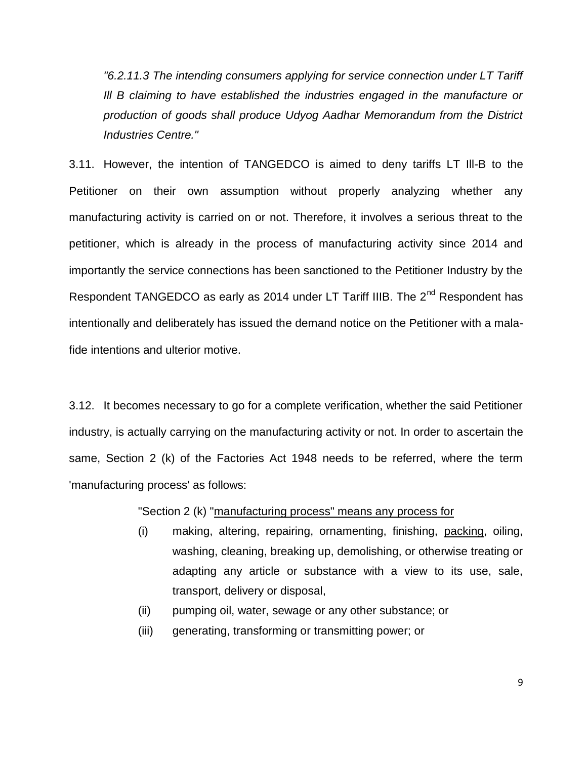*"6.2.11.3 The intending consumers applying for service connection under LT Tariff Ill B claiming to have established the industries engaged in the manufacture or production of goods shall produce Udyog Aadhar Memorandum from the District Industries Centre."*

3.11. However, the intention of TANGEDCO is aimed to deny tariffs LT Ill-B to the Petitioner on their own assumption without properly analyzing whether any manufacturing activity is carried on or not. Therefore, it involves a serious threat to the petitioner, which is already in the process of manufacturing activity since 2014 and importantly the service connections has been sanctioned to the Petitioner Industry by the Respondent TANGEDCO as early as 2014 under LT Tariff IIIB. The 2<sup>nd</sup> Respondent has intentionally and deliberately has issued the demand notice on the Petitioner with a malafide intentions and ulterior motive.

3.12. It becomes necessary to go for a complete verification, whether the said Petitioner industry, is actually carrying on the manufacturing activity or not. In order to ascertain the same, Section 2 (k) of the Factories Act 1948 needs to be referred, where the term 'manufacturing process' as follows:

"Section 2 (k) "manufacturing process" means any process for

- (i) making, altering, repairing, ornamenting, finishing, packing, oiling, washing, cleaning, breaking up, demolishing, or otherwise treating or adapting any article or substance with a view to its use, sale, transport, delivery or disposal,
- (ii) pumping oil, water, sewage or any other substance; or
- (iii) generating, transforming or transmitting power; or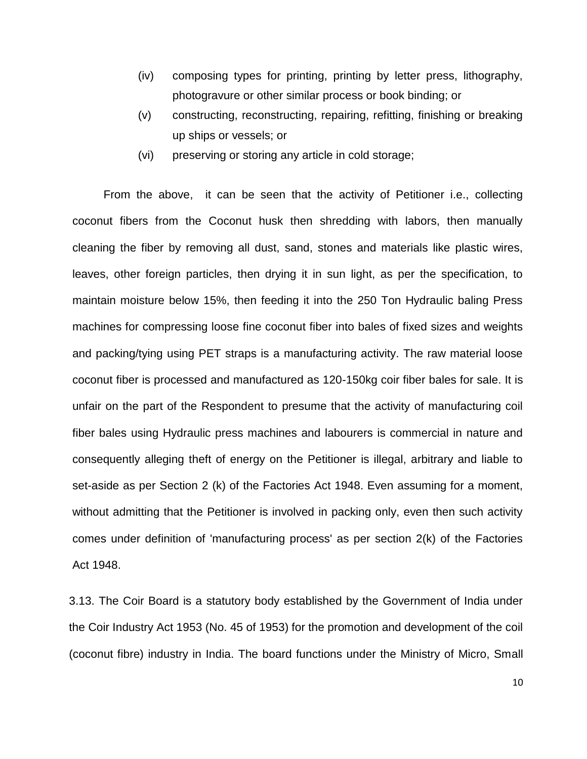- (iv) composing types for printing, printing by letter press, lithography, photogravure or other similar process or book binding; or
- (v) constructing, reconstructing, repairing, refitting, finishing or breaking up ships or vessels; or
- (vi) preserving or storing any article in cold storage;

From the above, it can be seen that the activity of Petitioner i.e., collecting coconut fibers from the Coconut husk then shredding with labors, then manually cleaning the fiber by removing all dust, sand, stones and materials like plastic wires, leaves, other foreign particles, then drying it in sun light, as per the specification, to maintain moisture below 15%, then feeding it into the 250 Ton Hydraulic baling Press machines for compressing loose fine coconut fiber into bales of fixed sizes and weights and packing/tying using PET straps is a manufacturing activity. The raw material loose coconut fiber is processed and manufactured as 120-150kg coir fiber bales for sale. It is unfair on the part of the Respondent to presume that the activity of manufacturing coil fiber bales using Hydraulic press machines and labourers is commercial in nature and consequently alleging theft of energy on the Petitioner is illegal, arbitrary and liable to set-aside as per Section 2 (k) of the Factories Act 1948. Even assuming for a moment, without admitting that the Petitioner is involved in packing only, even then such activity comes under definition of 'manufacturing process' as per section 2(k) of the Factories Act 1948.

3.13. The Coir Board is a statutory body established by the Government of India under the Coir Industry Act 1953 (No. 45 of 1953) for the promotion and development of the coil (coconut fibre) industry in India. The board functions under the Ministry of Micro, Small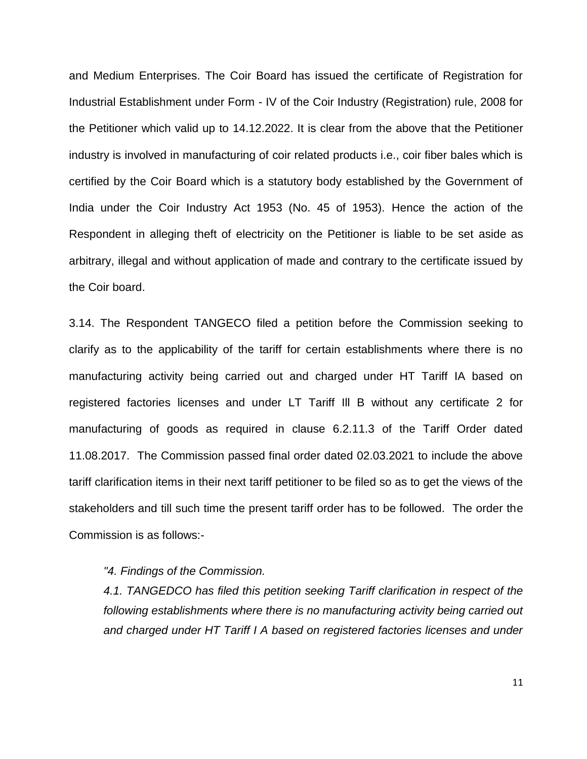and Medium Enterprises. The Coir Board has issued the certificate of Registration for Industrial Establishment under Form - IV of the Coir Industry (Registration) rule, 2008 for the Petitioner which valid up to 14.12.2022. It is clear from the above that the Petitioner industry is involved in manufacturing of coir related products i.e., coir fiber bales which is certified by the Coir Board which is a statutory body established by the Government of India under the Coir Industry Act 1953 (No. 45 of 1953). Hence the action of the Respondent in alleging theft of electricity on the Petitioner is liable to be set aside as arbitrary, illegal and without application of made and contrary to the certificate issued by the Coir board.

3.14. The Respondent TANGECO filed a petition before the Commission seeking to clarify as to the applicability of the tariff for certain establishments where there is no manufacturing activity being carried out and charged under HT Tariff IA based on registered factories licenses and under LT Tariff Ill B without any certificate 2 for manufacturing of goods as required in clause 6.2.11.3 of the Tariff Order dated 11.08.2017. The Commission passed final order dated 02.03.2021 to include the above tariff clarification items in their next tariff petitioner to be filed so as to get the views of the stakeholders and till such time the present tariff order has to be followed. The order the Commission is as follows:-

*"4. Findings of the Commission.* 

*4.1. TANGEDCO has filed this petition seeking Tariff clarification in respect of the following establishments where there is no manufacturing activity being carried out and charged under HT Tariff I A based on registered factories licenses and under*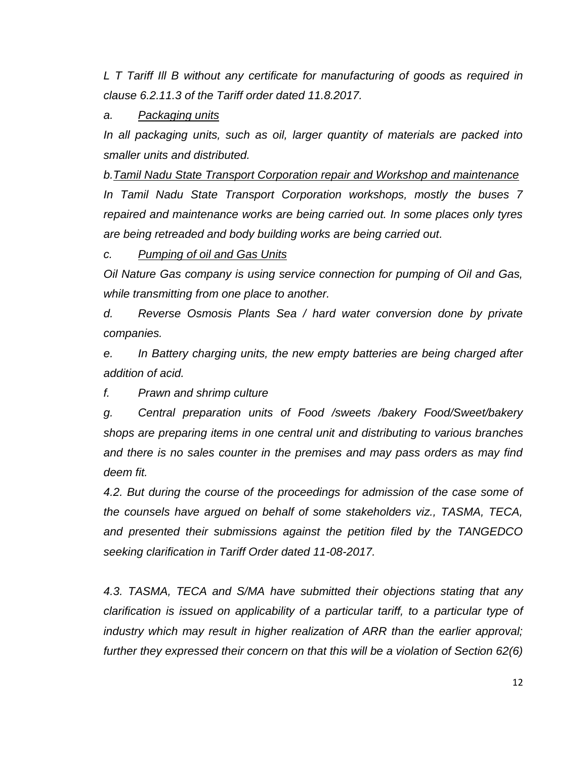*L T Tariff Ill B without any certificate for manufacturing of goods as required in clause 6.2.11.3 of the Tariff order dated 11.8.2017.*

# *a. Packaging units*

*In all packaging units, such as oil, larger quantity of materials are packed into smaller units and distributed.*

*b.Tamil Nadu State Transport Corporation repair and Workshop and maintenance In Tamil Nadu State Transport Corporation workshops, mostly the buses 7 repaired and maintenance works are being carried out. In some places only tyres are being retreaded and body building works are being carried out.*

### *c. Pumping of oil and Gas Units*

*Oil Nature Gas company is using service connection for pumping of Oil and Gas, while transmitting from one place to another.*

*d. Reverse Osmosis Plants Sea / hard water conversion done by private companies.*

*e. In Battery charging units, the new empty batteries are being charged after addition of acid.*

*f. Prawn and shrimp culture*

*g. Central preparation units of Food /sweets /bakery Food/Sweet/bakery shops are preparing items in one central unit and distributing to various branches and there is no sales counter in the premises and may pass orders as may find deem fit.*

*4.2. But during the course of the proceedings for admission of the case some of the counsels have argued on behalf of some stakeholders viz., TASMA, TECA, and presented their submissions against the petition filed by the TANGEDCO seeking clarification in Tariff Order dated 11-08-2017.*

*4.3. TASMA, TECA and S/MA have submitted their objections stating that any clarification is issued on applicability of a particular tariff, to a particular type of industry which may result in higher realization of ARR than the earlier approval;*  further they expressed their concern on that this will be a violation of Section 62(6)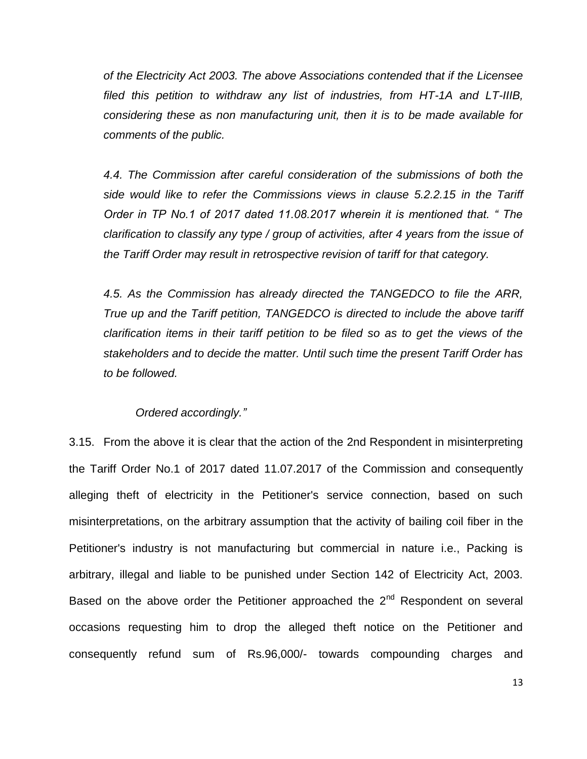*of the Electricity Act 2003. The above Associations contended that if the Licensee filed this petition to withdraw any list of industries, from HT-1A and LT-IIIB, considering these as non manufacturing unit, then it is to be made available for comments of the public.*

*4.4. The Commission after careful consideration of the submissions of both the side would like to refer the Commissions views in clause 5.2.2.15 in the Tariff Order in TP No.1 of 2017 dated 11.08.2017 wherein it is mentioned that. " The clarification to classify any type / group of activities, after 4 years from the issue of the Tariff Order may result in retrospective revision of tariff for that category.*

*4.5. As the Commission has already directed the TANGEDCO to file the ARR, True up and the Tariff petition, TANGEDCO is directed to include the above tariff clarification items in their tariff petition to be filed so as to get the views of the stakeholders and to decide the matter. Until such time the present Tariff Order has to be followed.*

### *Ordered accordingly."*

3.15. From the above it is clear that the action of the 2nd Respondent in misinterpreting the Tariff Order No.1 of 2017 dated 11.07.2017 of the Commission and consequently alleging theft of electricity in the Petitioner's service connection, based on such misinterpretations, on the arbitrary assumption that the activity of bailing coil fiber in the Petitioner's industry is not manufacturing but commercial in nature i.e., Packing is arbitrary, illegal and liable to be punished under Section 142 of Electricity Act, 2003. Based on the above order the Petitioner approached the 2<sup>nd</sup> Respondent on several occasions requesting him to drop the alleged theft notice on the Petitioner and consequently refund sum of Rs.96,000/- towards compounding charges and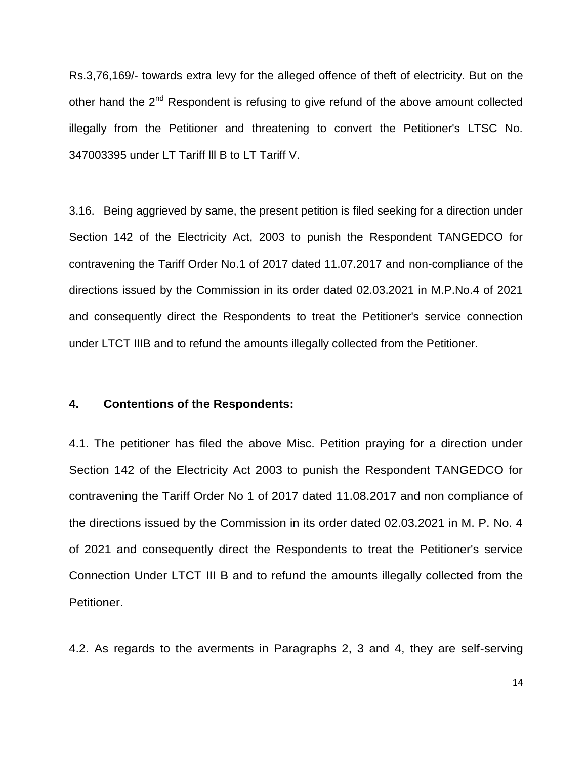Rs.3,76,169/- towards extra levy for the alleged offence of theft of electricity. But on the other hand the  $2<sup>nd</sup>$  Respondent is refusing to give refund of the above amount collected illegally from the Petitioner and threatening to convert the Petitioner's LTSC No. 347003395 under LT Tariff lll B to LT Tariff V.

3.16. Being aggrieved by same, the present petition is filed seeking for a direction under Section 142 of the Electricity Act, 2003 to punish the Respondent TANGEDCO for contravening the Tariff Order No.1 of 2017 dated 11.07.2017 and non-compliance of the directions issued by the Commission in its order dated 02.03.2021 in M.P.No.4 of 2021 and consequently direct the Respondents to treat the Petitioner's service connection under LTCT IIIB and to refund the amounts illegally collected from the Petitioner.

# **4. Contentions of the Respondents:**

4.1. The petitioner has filed the above Misc. Petition praying for a direction under Section 142 of the Electricity Act 2003 to punish the Respondent TANGEDCO for contravening the Tariff Order No 1 of 2017 dated 11.08.2017 and non compliance of the directions issued by the Commission in its order dated 02.03.2021 in M. P. No. 4 of 2021 and consequently direct the Respondents to treat the Petitioner's service Connection Under LTCT III B and to refund the amounts illegally collected from the Petitioner.

4.2. As regards to the averments in Paragraphs 2, 3 and 4, they are self-serving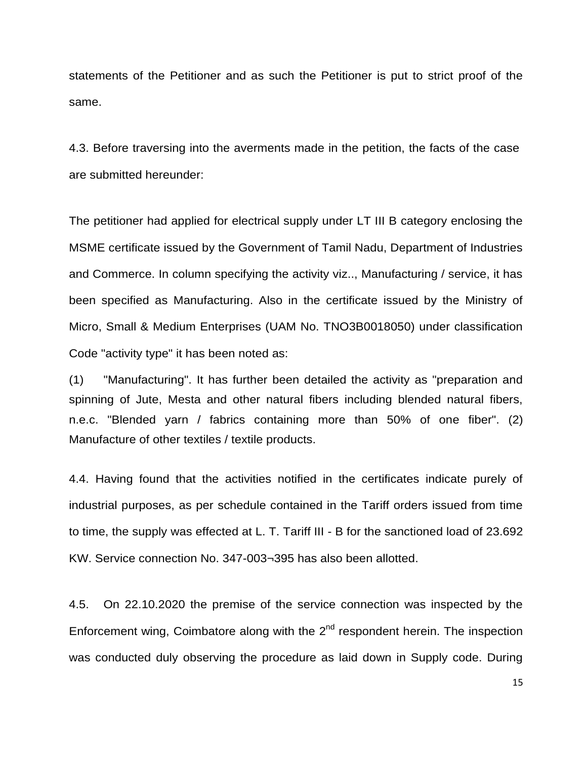statements of the Petitioner and as such the Petitioner is put to strict proof of the same.

4.3. Before traversing into the averments made in the petition, the facts of the case are submitted hereunder:

The petitioner had applied for electrical supply under LT III B category enclosing the MSME certificate issued by the Government of Tamil Nadu, Department of Industries and Commerce. In column specifying the activity viz.., Manufacturing / service, it has been specified as Manufacturing. Also in the certificate issued by the Ministry of Micro, Small & Medium Enterprises (UAM No. TNO3B0018050) under classification Code "activity type" it has been noted as:

(1) "Manufacturing". It has further been detailed the activity as "preparation and spinning of Jute, Mesta and other natural fibers including blended natural fibers, n.e.c. "Blended yarn / fabrics containing more than 50% of one fiber". (2) Manufacture of other textiles / textile products.

4.4. Having found that the activities notified in the certificates indicate purely of industrial purposes, as per schedule contained in the Tariff orders issued from time to time, the supply was effected at L. T. Tariff III - B for the sanctioned load of 23.692 KW. Service connection No. 347-003¬395 has also been allotted.

4.5. On 22.10.2020 the premise of the service connection was inspected by the Enforcement wing, Coimbatore along with the  $2<sup>nd</sup>$  respondent herein. The inspection was conducted duly observing the procedure as laid down in Supply code. During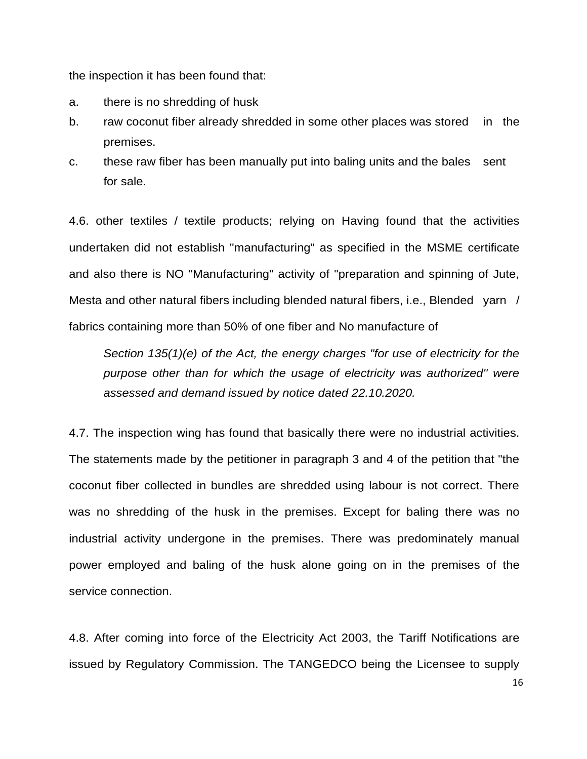the inspection it has been found that:

- a. there is no shredding of husk
- b. raw coconut fiber already shredded in some other places was stored in the premises.
- c. these raw fiber has been manually put into baling units and the bales sent for sale.

4.6. other textiles / textile products; relying on Having found that the activities undertaken did not establish "manufacturing" as specified in the MSME certificate and also there is NO "Manufacturing" activity of "preparation and spinning of Jute, Mesta and other natural fibers including blended natural fibers, i.e., Blended yarn / fabrics containing more than 50% of one fiber and No manufacture of

*Section 135(1)(e) of the Act, the energy charges "for use of electricity for the purpose other than for which the usage of electricity was authorized'' were assessed and demand issued by notice dated 22.10.2020.*

4.7. The inspection wing has found that basically there were no industrial activities. The statements made by the petitioner in paragraph 3 and 4 of the petition that "the coconut fiber collected in bundles are shredded using labour is not correct. There was no shredding of the husk in the premises. Except for baling there was no industrial activity undergone in the premises. There was predominately manual power employed and baling of the husk alone going on in the premises of the service connection.

4.8. After coming into force of the Electricity Act 2003, the Tariff Notifications are issued by Regulatory Commission. The TANGEDCO being the Licensee to supply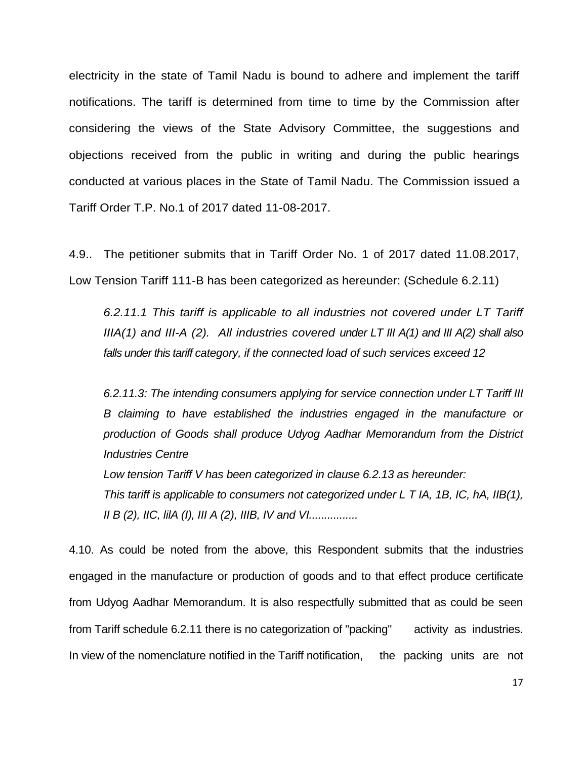electricity in the state of Tamil Nadu is bound to adhere and implement the tariff notifications. The tariff is determined from time to time by the Commission after considering the views of the State Advisory Committee, the suggestions and objections received from the public in writing and during the public hearings conducted at various places in the State of Tamil Nadu. The Commission issued a Tariff Order T.P. No.1 of 2017 dated 11-08-2017.

4.9.. The petitioner submits that in Tariff Order No. 1 of 2017 dated 11.08.2017, Low Tension Tariff 111-B has been categorized as hereunder: (Schedule 6.2.11)

*6.2.11.1 This tariff is applicable to all industries not covered under LT Tariff IIIA(1) and III-A (2). All industries covered under LT III A(1) and III A(2) shall also falls under this tariff category, if the connected load of such services exceed 12*

*6.2.11.3: The intending consumers applying for service connection under LT Tariff III B claiming to have established the industries engaged in the manufacture or production of Goods shall produce Udyog Aadhar Memorandum from the District Industries Centre*

*Low tension Tariff V has been categorized in clause 6.2.13 as hereunder: This tariff is applicable to consumers not categorized under L T IA, 1B, IC, hA, IIB(1), II B (2), IIC, lilA (I), III A (2), IIIB, IV and VI................*

4.10. As could be noted from the above, this Respondent submits that the industries engaged in the manufacture or production of goods and to that effect produce certificate from Udyog Aadhar Memorandum. It is also respectfully submitted that as could be seen from Tariff schedule 6.2.11 there is no categorization of "packing" activity as industries. In view of the nomenclature notified in the Tariff notification, the packing units are not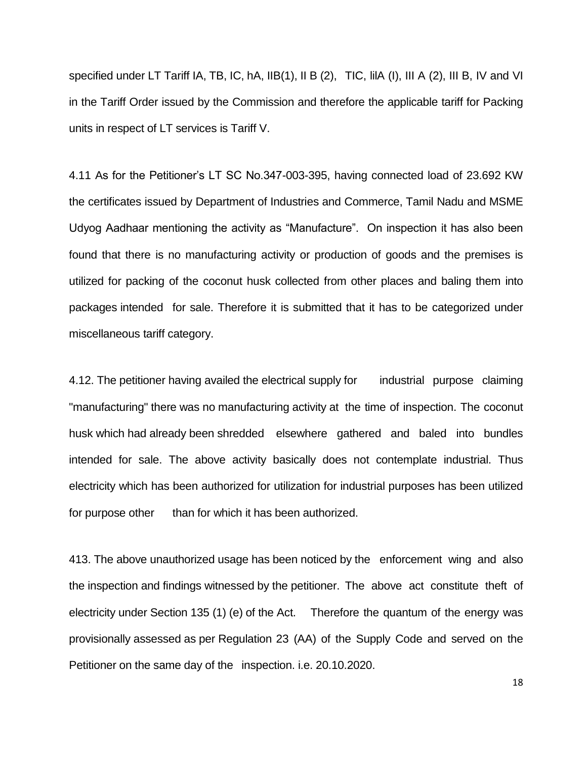specified under LT Tariff IA, TB, IC, hA, IIB(1), II B (2), TIC, IIIA (I), III A (2), III B, IV and VI in the Tariff Order issued by the Commission and therefore the applicable tariff for Packing units in respect of LT services is Tariff V.

4.11 As for the Petitioner's LT SC No.347-003-395, having connected load of 23.692 KW the certificates issued by Department of Industries and Commerce, Tamil Nadu and MSME Udyog Aadhaar mentioning the activity as "Manufacture". On inspection it has also been found that there is no manufacturing activity or production of goods and the premises is utilized for packing of the coconut husk collected from other places and baling them into packages intended for sale. Therefore it is submitted that it has to be categorized under miscellaneous tariff category.

4.12. The petitioner having availed the electrical supply for industrial purpose claiming "manufacturing" there was no manufacturing activity at the time of inspection. The coconut husk which had already been shredded elsewhere gathered and baled into bundles intended for sale. The above activity basically does not contemplate industrial. Thus electricity which has been authorized for utilization for industrial purposes has been utilized for purpose other than for which it has been authorized.

413. The above unauthorized usage has been noticed by the enforcement wing and also the inspection and findings witnessed by the petitioner. The above act constitute theft of electricity under Section 135 (1) (e) of the Act. Therefore the quantum of the energy was provisionally assessed as per Regulation 23 (AA) of the Supply Code and served on the Petitioner on the same day of the inspection. i.e. 20.10.2020.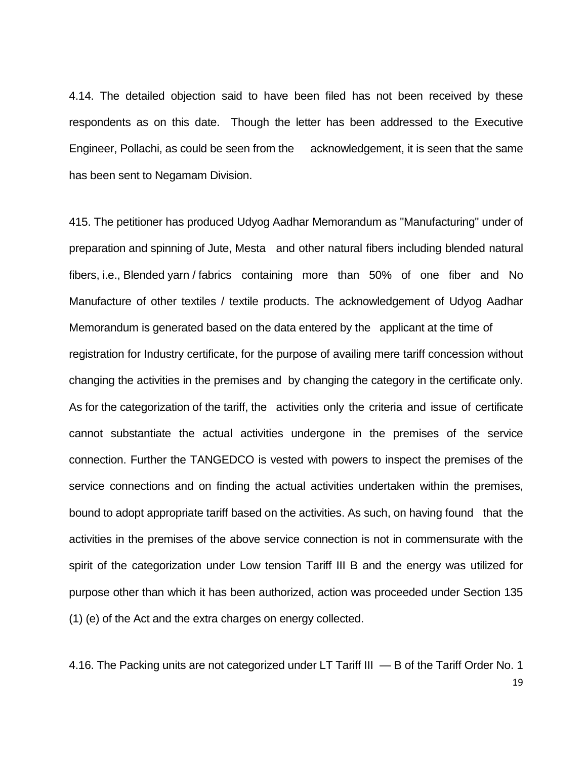4.14. The detailed objection said to have been filed has not been received by these respondents as on this date. Though the letter has been addressed to the Executive Engineer, Pollachi, as could be seen from the acknowledgement, it is seen that the same has been sent to Negamam Division.

415. The petitioner has produced Udyog Aadhar Memorandum as "Manufacturing" under of preparation and spinning of Jute, Mesta and other natural fibers including blended natural fibers, i.e., Blended yarn / fabrics containing more than 50% of one fiber and No Manufacture of other textiles / textile products. The acknowledgement of Udyog Aadhar Memorandum is generated based on the data entered by the applicant at the time of registration for Industry certificate, for the purpose of availing mere tariff concession without changing the activities in the premises and by changing the category in the certificate only. As for the categorization of the tariff, the activities only the criteria and issue of certificate cannot substantiate the actual activities undergone in the premises of the service connection. Further the TANGEDCO is vested with powers to inspect the premises of the service connections and on finding the actual activities undertaken within the premises, bound to adopt appropriate tariff based on the activities. As such, on having found that the activities in the premises of the above service connection is not in commensurate with the spirit of the categorization under Low tension Tariff III B and the energy was utilized for purpose other than which it has been authorized, action was proceeded under Section 135 (1) (e) of the Act and the extra charges on energy collected.

19 4.16. The Packing units are not categorized under LT Tariff III — B of the Tariff Order No. 1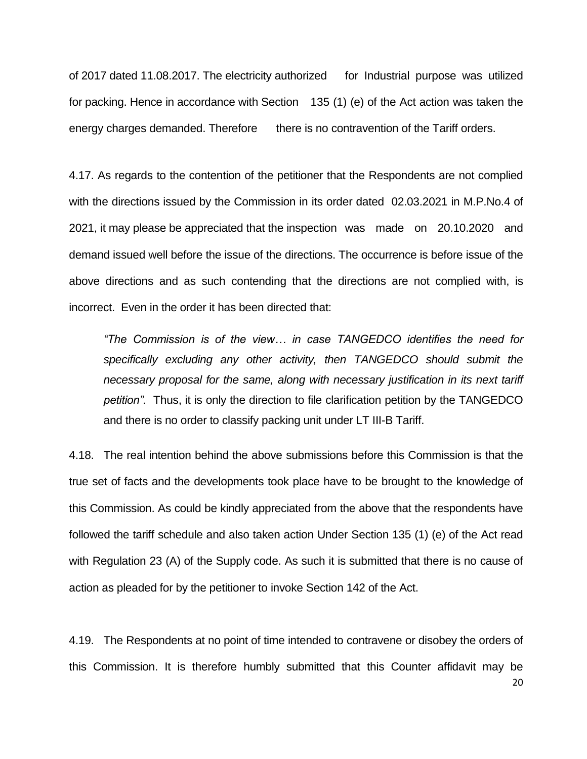of 2017 dated 11.08.2017. The electricity authorized for Industrial purpose was utilized for packing. Hence in accordance with Section 135 (1) (e) of the Act action was taken the energy charges demanded. Therefore there is no contravention of the Tariff orders.

4.17. As regards to the contention of the petitioner that the Respondents are not complied with the directions issued by the Commission in its order dated 02.03.2021 in M.P.No.4 of 2021, it may please be appreciated that the inspection was made on 20.10.2020 and demand issued well before the issue of the directions. The occurrence is before issue of the above directions and as such contending that the directions are not complied with, is incorrect. Even in the order it has been directed that:

*"The Commission is of the view… in case TANGEDCO identifies the need for specifically excluding any other activity, then TANGEDCO should submit the necessary proposal for the same, along with necessary justification in its next tariff petition".* Thus, it is only the direction to file clarification petition by the TANGEDCO and there is no order to classify packing unit under LT III-B Tariff.

4.18. The real intention behind the above submissions before this Commission is that the true set of facts and the developments took place have to be brought to the knowledge of this Commission. As could be kindly appreciated from the above that the respondents have followed the tariff schedule and also taken action Under Section 135 (1) (e) of the Act read with Regulation 23 (A) of the Supply code. As such it is submitted that there is no cause of action as pleaded for by the petitioner to invoke Section 142 of the Act.

4.19. The Respondents at no point of time intended to contravene or disobey the orders of this Commission. It is therefore humbly submitted that this Counter affidavit may be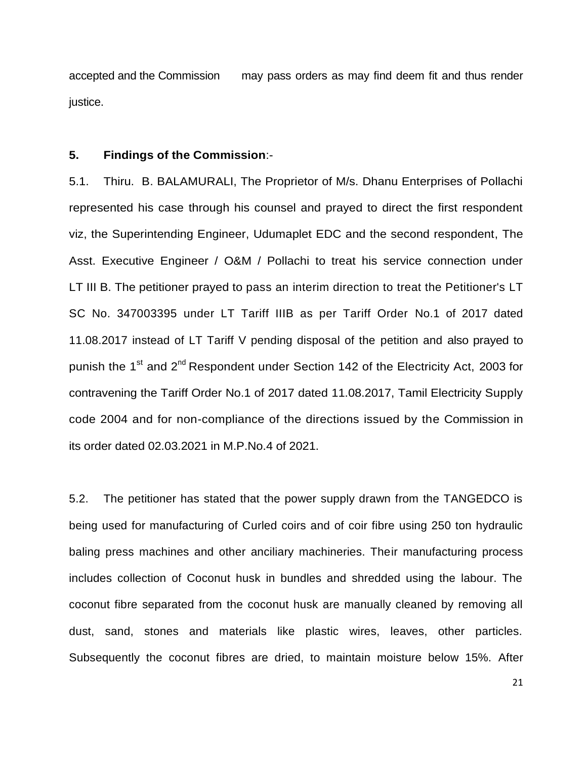accepted and the Commission may pass orders as may find deem fit and thus render justice.

# **5. Findings of the Commission**:-

5.1. Thiru. B. BALAMURALI, The Proprietor of M/s. Dhanu Enterprises of Pollachi represented his case through his counsel and prayed to direct the first respondent viz, the Superintending Engineer, Udumaplet EDC and the second respondent, The Asst. Executive Engineer / O&M / Pollachi to treat his service connection under LT III B. The petitioner prayed to pass an interim direction to treat the Petitioner's LT SC No. 347003395 under LT Tariff IIIB as per Tariff Order No.1 of 2017 dated 11.08.2017 instead of LT Tariff V pending disposal of the petition and also prayed to punish the 1<sup>st</sup> and 2<sup>nd</sup> Respondent under Section 142 of the Electricity Act, 2003 for contravening the Tariff Order No.1 of 2017 dated 11.08.2017, Tamil Electricity Supply code 2004 and for non-compliance of the directions issued by the Commission in its order dated 02.03.2021 in M.P.No.4 of 2021.

5.2. The petitioner has stated that the power supply drawn from the TANGEDCO is being used for manufacturing of Curled coirs and of coir fibre using 250 ton hydraulic baling press machines and other anciliary machineries. Their manufacturing process includes collection of Coconut husk in bundles and shredded using the labour. The coconut fibre separated from the coconut husk are manually cleaned by removing all dust, sand, stones and materials like plastic wires, leaves, other particles. Subsequently the coconut fibres are dried, to maintain moisture below 15%. After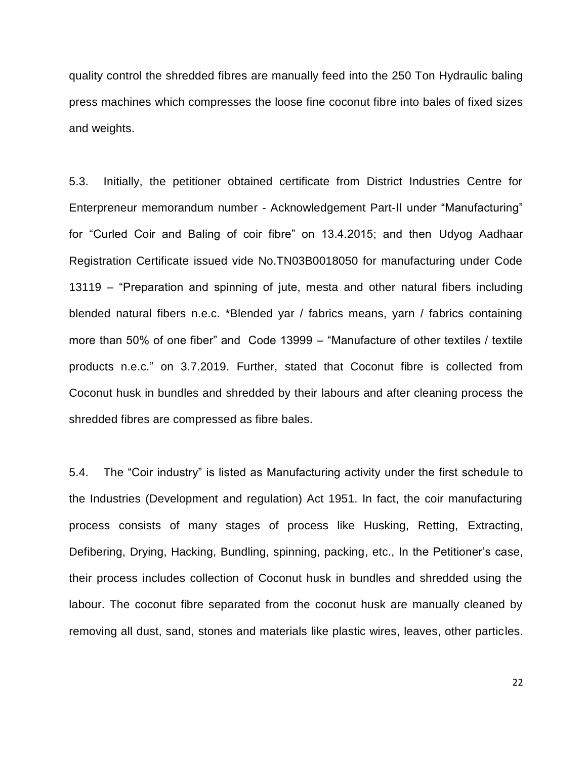quality control the shredded fibres are manually feed into the 250 Ton Hydraulic baling press machines which compresses the loose fine coconut fibre into bales of fixed sizes and weights.

5.3. Initially, the petitioner obtained certificate from District Industries Centre for Enterpreneur memorandum number - Acknowledgement Part-II under "Manufacturing" for "Curled Coir and Baling of coir fibre" on 13.4.2015; and then Udyog Aadhaar Registration Certificate issued vide No.TN03B0018050 for manufacturing under Code 13119 – "Preparation and spinning of jute, mesta and other natural fibers including blended natural fibers n.e.c. \*Blended yar / fabrics means, yarn / fabrics containing more than 50% of one fiber" and Code 13999 – "Manufacture of other textiles / textile products n.e.c.‖ on 3.7.2019. Further, stated that Coconut fibre is collected from Coconut husk in bundles and shredded by their labours and after cleaning process the shredded fibres are compressed as fibre bales.

5.4. The "Coir industry" is listed as Manufacturing activity under the first schedule to the Industries (Development and regulation) Act 1951. In fact, the coir manufacturing process consists of many stages of process like Husking, Retting, Extracting, Defibering, Drying, Hacking, Bundling, spinning, packing, etc., In the Petitioner's case, their process includes collection of Coconut husk in bundles and shredded using the labour. The coconut fibre separated from the coconut husk are manually cleaned by removing all dust, sand, stones and materials like plastic wires, leaves, other particles.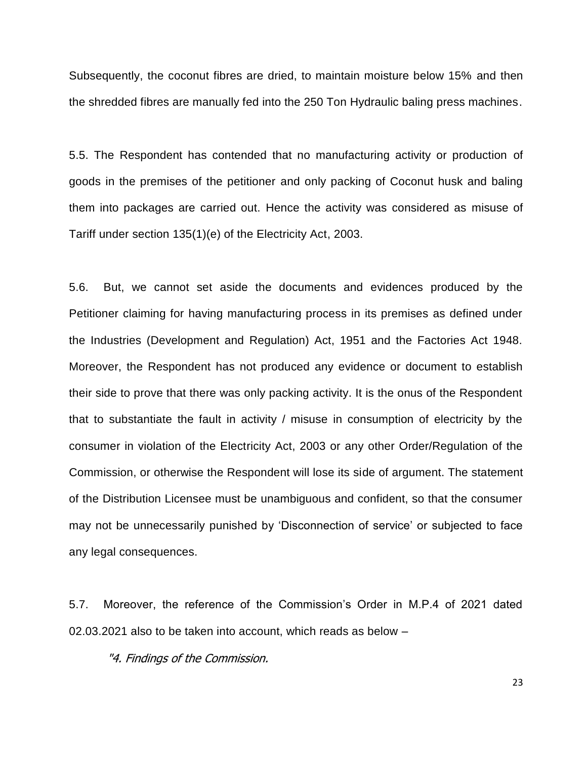Subsequently, the coconut fibres are dried, to maintain moisture below 15% and then the shredded fibres are manually fed into the 250 Ton Hydraulic baling press machines.

5.5. The Respondent has contended that no manufacturing activity or production of goods in the premises of the petitioner and only packing of Coconut husk and baling them into packages are carried out. Hence the activity was considered as misuse of Tariff under section 135(1)(e) of the Electricity Act, 2003.

5.6. But, we cannot set aside the documents and evidences produced by the Petitioner claiming for having manufacturing process in its premises as defined under the Industries (Development and Regulation) Act, 1951 and the Factories Act 1948. Moreover, the Respondent has not produced any evidence or document to establish their side to prove that there was only packing activity. It is the onus of the Respondent that to substantiate the fault in activity / misuse in consumption of electricity by the consumer in violation of the Electricity Act, 2003 or any other Order/Regulation of the Commission, or otherwise the Respondent will lose its side of argument. The statement of the Distribution Licensee must be unambiguous and confident, so that the consumer may not be unnecessarily punished by 'Disconnection of service' or subjected to face any legal consequences.

5.7. Moreover, the reference of the Commission's Order in M.P.4 of 2021 dated 02.03.2021 also to be taken into account, which reads as below –

"4. Findings of the Commission.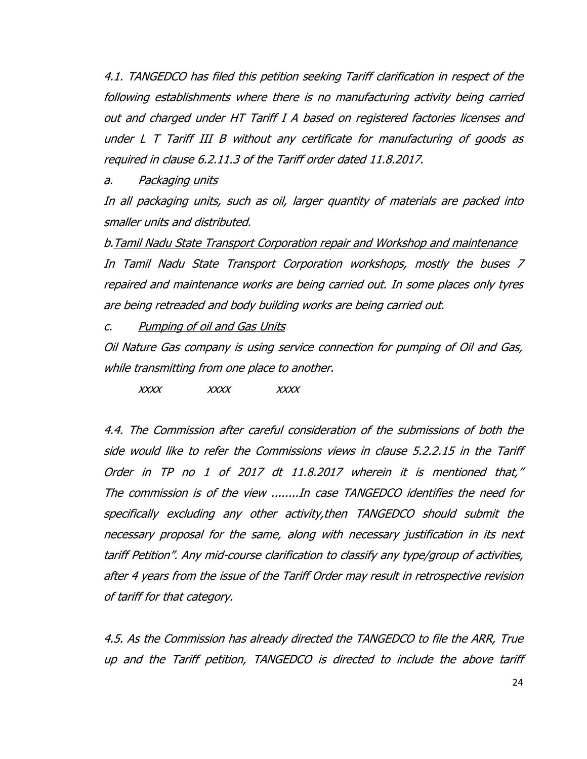4.1. TANGEDCO has filed this petition seeking Tariff clarification in respect of the following establishments where there is no manufacturing activity being carried out and charged under HT Tariff I A based on registered factories licenses and under L T Tariff III B without any certificate for manufacturing of goods as required in clause 6.2.11.3 of the Tariff order dated 11.8.2017.

a. Packaging units

In all packaging units, such as oil, larger quantity of materials are packed into smaller units and distributed.

b.Tamil Nadu State Transport Corporation repair and Workshop and maintenance In Tamil Nadu State Transport Corporation workshops, mostly the buses 7 repaired and maintenance works are being carried out. In some places only tyres are being retreaded and body building works are being carried out.

c. Pumping of oil and Gas Units

Oil Nature Gas company is using service connection for pumping of Oil and Gas, while transmitting from one place to another.

xxxx xxxx xxxx

4.4. The Commission after careful consideration of the submissions of both the side would like to refer the Commissions views in clause 5.2.2.15 in the Tariff Order in TP no 1 of 2017 dt 11.8.2017 wherein it is mentioned that," The commission is of the view ........In case TANGEDCO identifies the need for specifically excluding any other activity,then TANGEDCO should submit the necessary proposal for the same, along with necessary justification in its next tariff Petition". Any mid-course clarification to classify any type/group of activities, after 4 years from the issue of the Tariff Order may result in retrospective revision of tariff for that category.

4.5. As the Commission has already directed the TANGEDCO to file the ARR, True up and the Tariff petition, TANGEDCO is directed to include the above tariff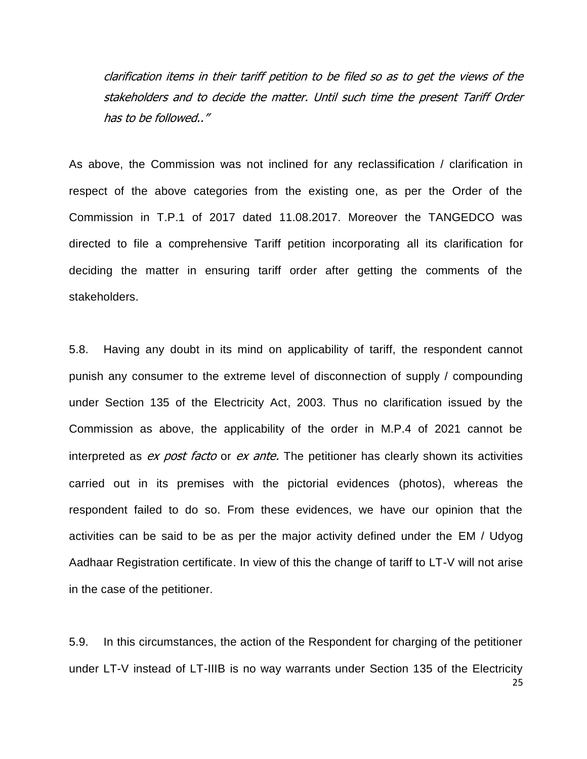clarification items in their tariff petition to be filed so as to get the views of the stakeholders and to decide the matter. Until such time the present Tariff Order has to be followed.."

As above, the Commission was not inclined for any reclassification / clarification in respect of the above categories from the existing one, as per the Order of the Commission in T.P.1 of 2017 dated 11.08.2017. Moreover the TANGEDCO was directed to file a comprehensive Tariff petition incorporating all its clarification for deciding the matter in ensuring tariff order after getting the comments of the stakeholders.

5.8. Having any doubt in its mind on applicability of tariff, the respondent cannot punish any consumer to the extreme level of disconnection of supply / compounding under Section 135 of the Electricity Act, 2003. Thus no clarification issued by the Commission as above, the applicability of the order in M.P.4 of 2021 cannot be interpreted as ex post facto or ex ante. The petitioner has clearly shown its activities carried out in its premises with the pictorial evidences (photos), whereas the respondent failed to do so. From these evidences, we have our opinion that the activities can be said to be as per the major activity defined under the EM / Udyog Aadhaar Registration certificate. In view of this the change of tariff to LT-V will not arise in the case of the petitioner.

25 5.9. In this circumstances, the action of the Respondent for charging of the petitioner under LT-V instead of LT-IIIB is no way warrants under Section 135 of the Electricity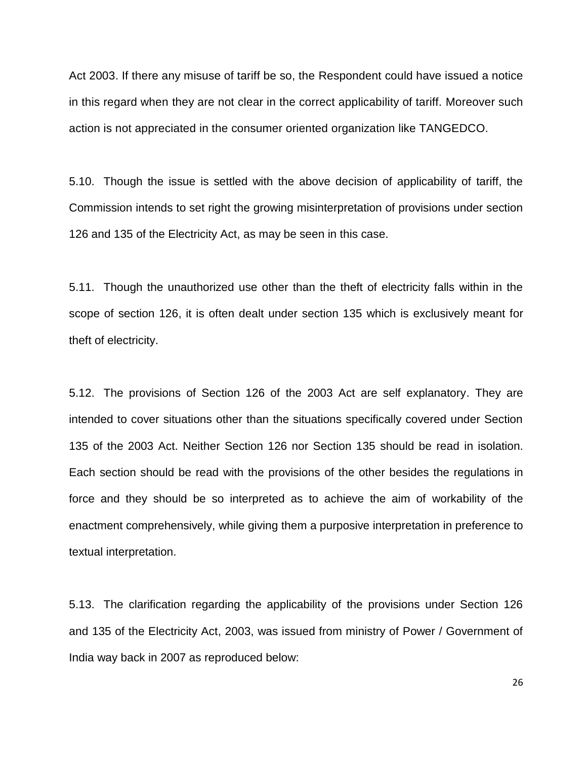Act 2003. If there any misuse of tariff be so, the Respondent could have issued a notice in this regard when they are not clear in the correct applicability of tariff. Moreover such action is not appreciated in the consumer oriented organization like TANGEDCO.

5.10. Though the issue is settled with the above decision of applicability of tariff, the Commission intends to set right the growing misinterpretation of provisions under section 126 and 135 of the Electricity Act, as may be seen in this case.

5.11. Though the unauthorized use other than the theft of electricity falls within in the scope of section 126, it is often dealt under section 135 which is exclusively meant for theft of electricity.

5.12. The provisions of Section 126 of the 2003 Act are self explanatory. They are intended to cover situations other than the situations specifically covered under Section 135 of the 2003 Act. Neither Section 126 nor Section 135 should be read in isolation. Each section should be read with the provisions of the other besides the regulations in force and they should be so interpreted as to achieve the aim of workability of the enactment comprehensively, while giving them a purposive interpretation in preference to textual interpretation.

5.13. The clarification regarding the applicability of the provisions under Section 126 and 135 of the Electricity Act, 2003, was issued from ministry of Power / Government of India way back in 2007 as reproduced below: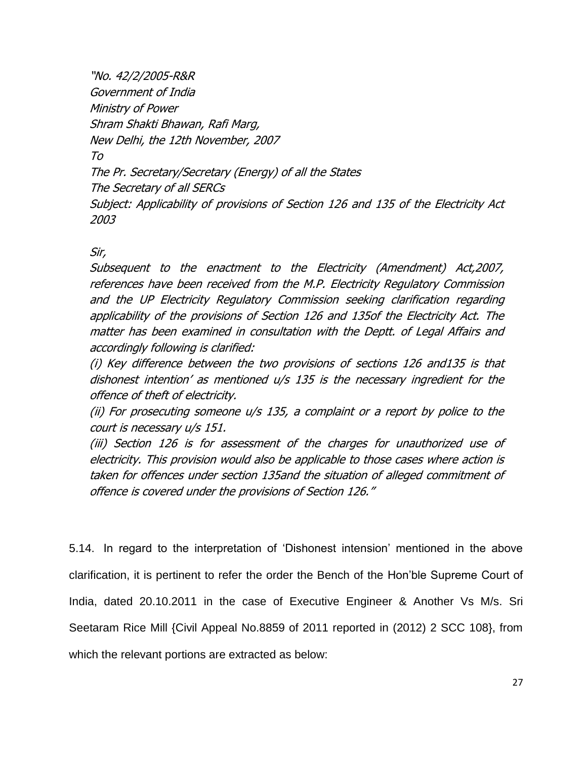"No. 42/2/2005-R&R Government of India Ministry of Power Shram Shakti Bhawan, Rafi Marg, New Delhi, the 12th November, 2007 To The Pr. Secretary/Secretary (Energy) of all the States The Secretary of all SERCs Subject: Applicability of provisions of Section 126 and 135 of the Electricity Act 2003

# Sir,

Subsequent to the enactment to the Electricity (Amendment) Act,2007, references have been received from the M.P. Electricity Regulatory Commission and the UP Electricity Regulatory Commission seeking clarification regarding applicability of the provisions of Section 126 and 135of the Electricity Act. The matter has been examined in consultation with the Deptt. of Legal Affairs and accordingly following is clarified:

(i) Key difference between the two provisions of sections 126 and135 is that dishonest intention' as mentioned u/s 135 is the necessary ingredient for the offence of theft of electricity.

(ii) For prosecuting someone u/s 135, a complaint or a report by police to the court is necessary u/s 151.

(iii) Section 126 is for assessment of the charges for unauthorized use of electricity. This provision would also be applicable to those cases where action is taken for offences under section 135and the situation of alleged commitment of offence is covered under the provisions of Section 126."

5.14. In regard to the interpretation of ‗Dishonest intension' mentioned in the above clarification, it is pertinent to refer the order the Bench of the Hon'ble Supreme Court of India, dated 20.10.2011 in the case of Executive Engineer & Another Vs M/s. Sri Seetaram Rice Mill {Civil Appeal No.8859 of 2011 reported in (2012) 2 SCC 108}, from which the relevant portions are extracted as below: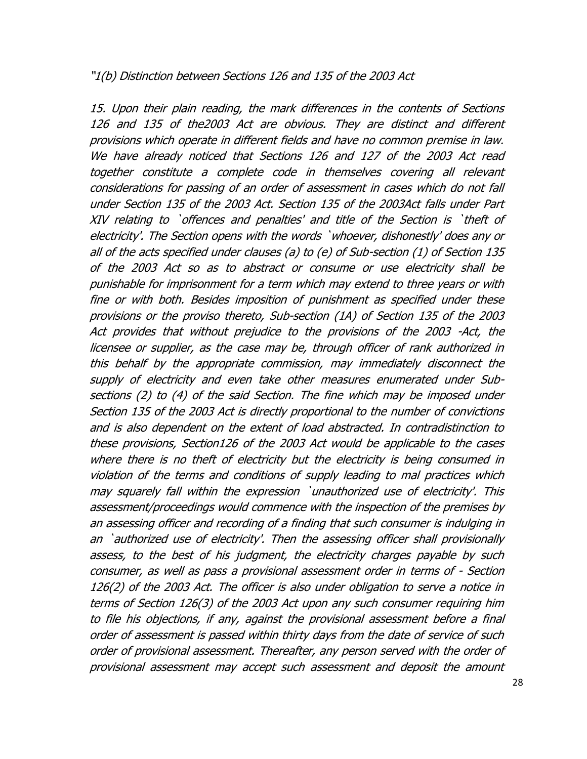# "1(b) Distinction between Sections 126 and 135 of the 2003 Act

15. Upon their plain reading, the mark differences in the contents of Sections 126 and 135 of the2003 Act are obvious. They are distinct and different provisions which operate in different fields and have no common premise in law. We have already noticed that Sections 126 and 127 of the 2003 Act read together constitute a complete code in themselves covering all relevant considerations for passing of an order of assessment in cases which do not fall under Section 135 of the 2003 Act. Section 135 of the 2003Act falls under Part XIV relating to `offences and penalties' and title of the Section is `theft of electricity'. The Section opens with the words `whoever, dishonestly' does any or all of the acts specified under clauses (a) to (e) of Sub-section (1) of Section 135 of the 2003 Act so as to abstract or consume or use electricity shall be punishable for imprisonment for a term which may extend to three years or with fine or with both. Besides imposition of punishment as specified under these provisions or the proviso thereto, Sub-section (1A) of Section 135 of the 2003 Act provides that without prejudice to the provisions of the 2003 -Act, the licensee or supplier, as the case may be, through officer of rank authorized in this behalf by the appropriate commission, may immediately disconnect the supply of electricity and even take other measures enumerated under Subsections (2) to (4) of the said Section. The fine which may be imposed under Section 135 of the 2003 Act is directly proportional to the number of convictions and is also dependent on the extent of load abstracted. In contradistinction to these provisions, Section126 of the 2003 Act would be applicable to the cases where there is no theft of electricity but the electricity is being consumed in violation of the terms and conditions of supply leading to mal practices which may squarely fall within the expression `unauthorized use of electricity'. This assessment/proceedings would commence with the inspection of the premises by an assessing officer and recording of a finding that such consumer is indulging in an `authorized use of electricity'. Then the assessing officer shall provisionally assess, to the best of his judgment, the electricity charges payable by such consumer, as well as pass a provisional assessment order in terms of - Section 126(2) of the 2003 Act. The officer is also under obligation to serve a notice in terms of Section 126(3) of the 2003 Act upon any such consumer requiring him to file his objections, if any, against the provisional assessment before a final order of assessment is passed within thirty days from the date of service of such order of provisional assessment. Thereafter, any person served with the order of provisional assessment may accept such assessment and deposit the amount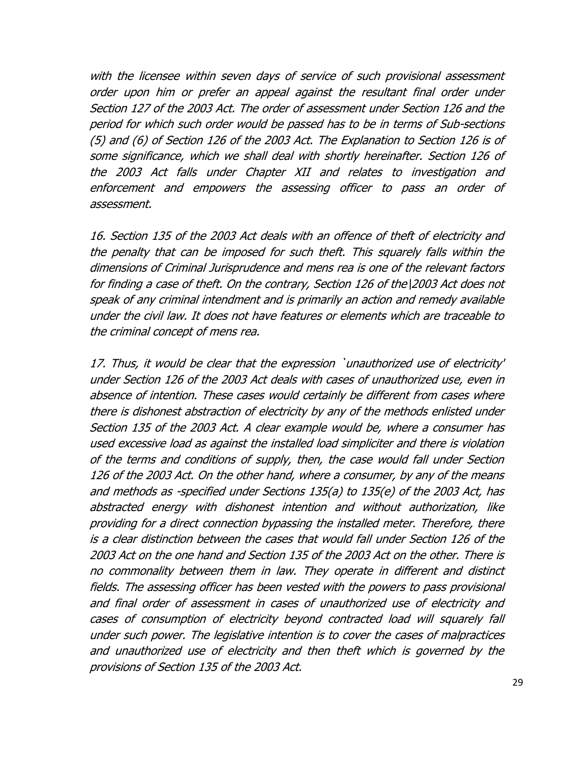with the licensee within seven days of service of such provisional assessment order upon him or prefer an appeal against the resultant final order under Section 127 of the 2003 Act. The order of assessment under Section 126 and the period for which such order would be passed has to be in terms of Sub-sections (5) and (6) of Section 126 of the 2003 Act. The Explanation to Section 126 is of some significance, which we shall deal with shortly hereinafter. Section 126 of the 2003 Act falls under Chapter XII and relates to investigation and enforcement and empowers the assessing officer to pass an order of assessment.

16. Section 135 of the 2003 Act deals with an offence of theft of electricity and the penalty that can be imposed for such theft. This squarely falls within the dimensions of Criminal Jurisprudence and mens rea is one of the relevant factors for finding a case of theft. On the contrary, Section 126 of the\2003 Act does not speak of any criminal intendment and is primarily an action and remedy available under the civil law. It does not have features or elements which are traceable to the criminal concept of mens rea.

17. Thus, it would be clear that the expression `unauthorized use of electricity' under Section 126 of the 2003 Act deals with cases of unauthorized use, even in absence of intention. These cases would certainly be different from cases where there is dishonest abstraction of electricity by any of the methods enlisted under Section 135 of the 2003 Act. A clear example would be, where a consumer has used excessive load as against the installed load simpliciter and there is violation of the terms and conditions of supply, then, the case would fall under Section 126 of the 2003 Act. On the other hand, where a consumer, by any of the means and methods as -specified under Sections 135(a) to 135(e) of the 2003 Act, has abstracted energy with dishonest intention and without authorization, like providing for a direct connection bypassing the installed meter. Therefore, there is a clear distinction between the cases that would fall under Section 126 of the 2003 Act on the one hand and Section 135 of the 2003 Act on the other. There is no commonality between them in law. They operate in different and distinct fields. The assessing officer has been vested with the powers to pass provisional and final order of assessment in cases of unauthorized use of electricity and cases of consumption of electricity beyond contracted load will squarely fall under such power. The legislative intention is to cover the cases of malpractices and unauthorized use of electricity and then theft which is governed by the provisions of Section 135 of the 2003 Act.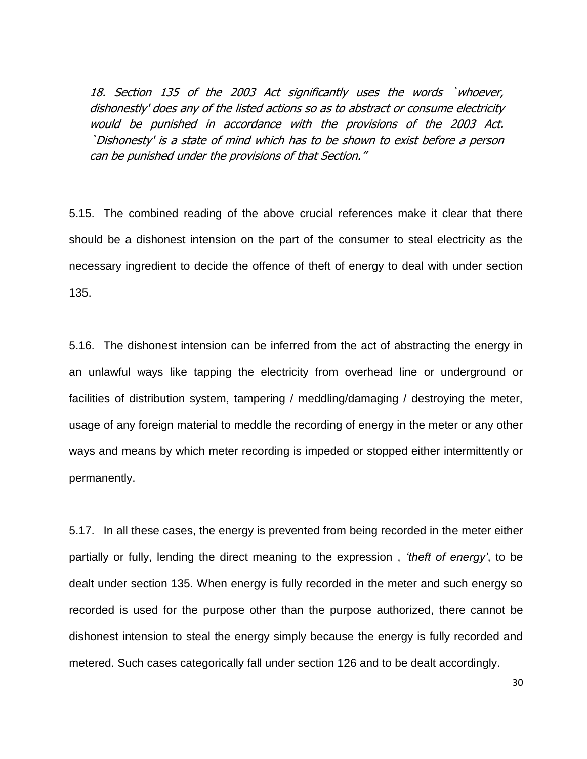18. Section 135 of the 2003 Act significantly uses the words `whoever, dishonestly' does any of the listed actions so as to abstract or consume electricity would be punished in accordance with the provisions of the 2003 Act. `Dishonesty' is a state of mind which has to be shown to exist before a person can be punished under the provisions of that Section."

5.15. The combined reading of the above crucial references make it clear that there should be a dishonest intension on the part of the consumer to steal electricity as the necessary ingredient to decide the offence of theft of energy to deal with under section 135.

5.16. The dishonest intension can be inferred from the act of abstracting the energy in an unlawful ways like tapping the electricity from overhead line or underground or facilities of distribution system, tampering / meddling/damaging / destroying the meter, usage of any foreign material to meddle the recording of energy in the meter or any other ways and means by which meter recording is impeded or stopped either intermittently or permanently.

5.17. In all these cases, the energy is prevented from being recorded in the meter either partially or fully, lending the direct meaning to the expression , *"theft of energy"*, to be dealt under section 135. When energy is fully recorded in the meter and such energy so recorded is used for the purpose other than the purpose authorized, there cannot be dishonest intension to steal the energy simply because the energy is fully recorded and metered. Such cases categorically fall under section 126 and to be dealt accordingly.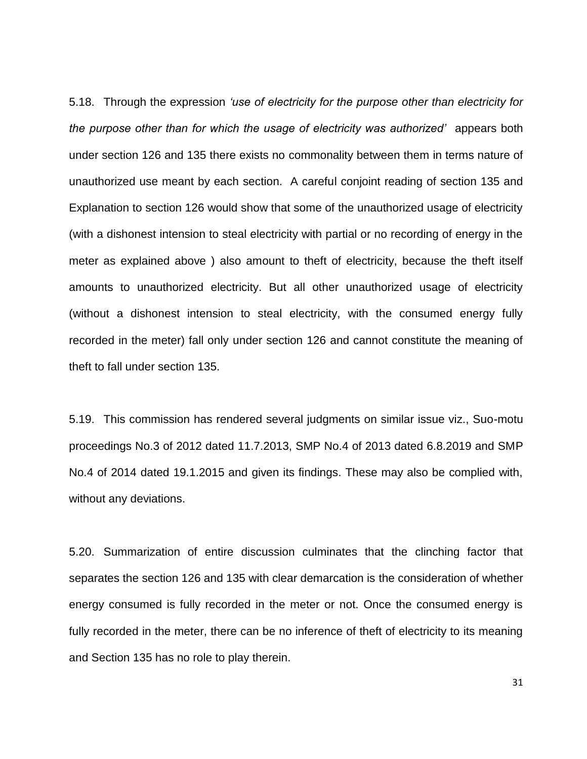5.18. Through the expression *"use of electricity for the purpose other than electricity for the purpose other than for which the usage of electricity was authorized"* appears both under section 126 and 135 there exists no commonality between them in terms nature of unauthorized use meant by each section. A careful conjoint reading of section 135 and Explanation to section 126 would show that some of the unauthorized usage of electricity (with a dishonest intension to steal electricity with partial or no recording of energy in the meter as explained above ) also amount to theft of electricity, because the theft itself amounts to unauthorized electricity. But all other unauthorized usage of electricity (without a dishonest intension to steal electricity, with the consumed energy fully recorded in the meter) fall only under section 126 and cannot constitute the meaning of theft to fall under section 135.

5.19. This commission has rendered several judgments on similar issue viz., Suo-motu proceedings No.3 of 2012 dated 11.7.2013, SMP No.4 of 2013 dated 6.8.2019 and SMP No.4 of 2014 dated 19.1.2015 and given its findings. These may also be complied with, without any deviations.

5.20. Summarization of entire discussion culminates that the clinching factor that separates the section 126 and 135 with clear demarcation is the consideration of whether energy consumed is fully recorded in the meter or not. Once the consumed energy is fully recorded in the meter, there can be no inference of theft of electricity to its meaning and Section 135 has no role to play therein.